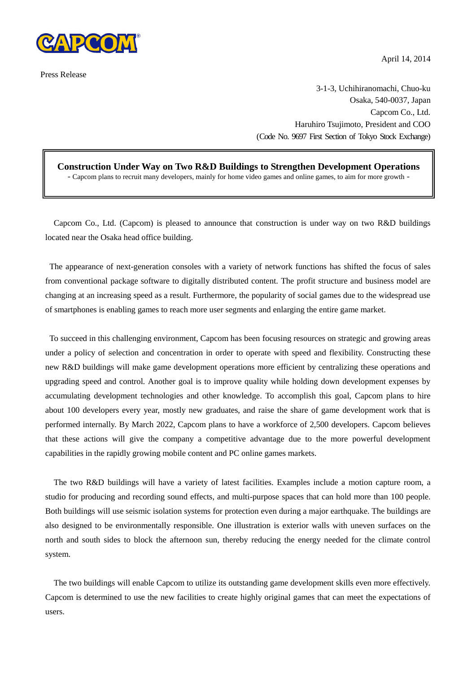

Press Release

April 14, 2014

3-1-3, Uchihiranomachi, Chuo-ku Osaka, 540-0037, Japan Capcom Co., Ltd. Haruhiro Tsujimoto, President and COO (Code No. 9697 First Section of Tokyo Stock Exchange)

**Construction Under Way on Two R&D Buildings to Strengthen Development Operations** - Capcom plans to recruit many developers, mainly for home video games and online games, to aim for more growth -

Capcom Co., Ltd. (Capcom) is pleased to announce that construction is under way on two R&D buildings located near the Osaka head office building.

The appearance of next-generation consoles with a variety of network functions has shifted the focus of sales from conventional package software to digitally distributed content. The profit structure and business model are changing at an increasing speed as a result. Furthermore, the popularity of social games due to the widespread use of smartphones is enabling games to reach more user segments and enlarging the entire game market.

To succeed in this challenging environment, Capcom has been focusing resources on strategic and growing areas under a policy of selection and concentration in order to operate with speed and flexibility. Constructing these new R&D buildings will make game development operations more efficient by centralizing these operations and upgrading speed and control. Another goal is to improve quality while holding down development expenses by accumulating development technologies and other knowledge. To accomplish this goal, Capcom plans to hire about 100 developers every year, mostly new graduates, and raise the share of game development work that is performed internally. By March 2022, Capcom plans to have a workforce of 2,500 developers. Capcom believes that these actions will give the company a competitive advantage due to the more powerful development capabilities in the rapidly growing mobile content and PC online games markets.

The two R&D buildings will have a variety of latest facilities. Examples include a motion capture room, a studio for producing and recording sound effects, and multi-purpose spaces that can hold more than 100 people. Both buildings will use seismic isolation systems for protection even during a major earthquake. The buildings are also designed to be environmentally responsible. One illustration is exterior walls with uneven surfaces on the north and south sides to block the afternoon sun, thereby reducing the energy needed for the climate control system.

The two buildings will enable Capcom to utilize its outstanding game development skills even more effectively. Capcom is determined to use the new facilities to create highly original games that can meet the expectations of users.